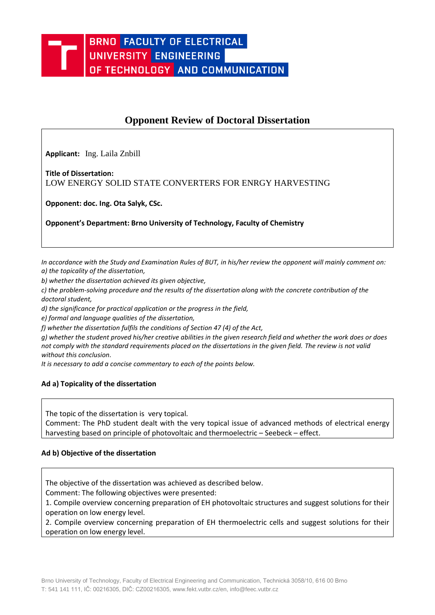# **Opponent Review of Doctoral Dissertation**

**Applicant:** Ing. Laila Znbill

**Title of Dissertation:**  LOW ENERGY SOLID STATE CONVERTERS FOR ENRGY HARVESTING

**Opponent: doc. Ing. Ota Salyk, CSc.** 

**Opponent's Department: Brno University of Technology, Faculty of Chemistry**

*In accordance with the Study and Examination Rules of BUT, in his/her review the opponent will mainly comment on: a) the topicality of the dissertation,* 

*b) whether the dissertation achieved its given objective,* 

*c) the problem-solving procedure and the results of the dissertation along with the concrete contribution of the doctoral student,* 

*d) the significance for practical application or the progress in the field,* 

*e) formal and language qualities of the dissertation,* 

*f) whether the dissertation fulfils the conditions of Section 47 (4) of the Act,* 

*g) whether the student proved his/her creative abilities in the given research field and whether the work does or does not comply with the standard requirements placed on the dissertations in the given field. The review is not valid without this conclusion.*

*It is necessary to add a concise commentary to each of the points below.*

# **Ad a) Topicality of the dissertation**

The topic of the dissertation is very topical.

Comment: The PhD student dealt with the very topical issue of advanced methods of electrical energy harvesting based on principle of photovoltaic and thermoelectric – Seebeck – effect.

# **Ad b) Objective of the dissertation**

The objective of the dissertation was achieved as described below.

Comment: The following objectives were presented:

1. Compile overview concerning preparation of EH photovoltaic structures and suggest solutions for their operation on low energy level.

2. Compile overview concerning preparation of EH thermoelectric cells and suggest solutions for their operation on low energy level.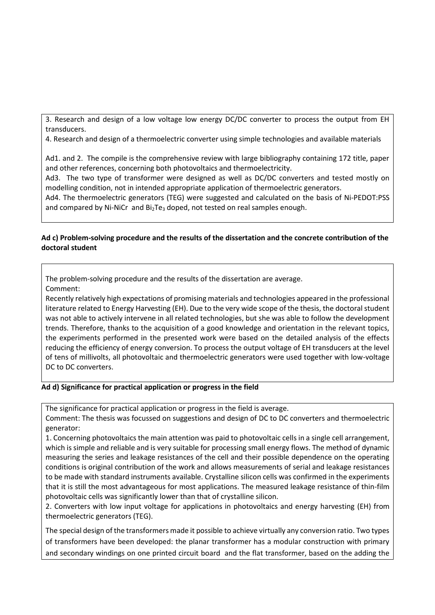3. Research and design of a low voltage low energy DC/DC converter to process the output from EH transducers.

4. Research and design of a thermoelectric converter using simple technologies and available materials

Ad1. and 2. The compile is the comprehensive review with large bibliography containing 172 title, paper and other references, concerning both photovoltaics and thermoelectricity.

Ad3. The two type of transformer were designed as well as DC/DC converters and tested mostly on modelling condition, not in intended appropriate application of thermoelectric generators.

Ad4. The thermoelectric generators (TEG) were suggested and calculated on the basis of Ni-PEDOT:PSS and compared by Ni-NiCr and Bi<sub>2</sub>Te<sub>3</sub> doped, not tested on real samples enough.

# **Ad c) Problem-solving procedure and the results of the dissertation and the concrete contribution of the doctoral student**

The problem-solving procedure and the results of the dissertation are average.

Comment:

Recently relatively high expectations of promising materials and technologies appeared in the professional literature related to Energy Harvesting (EH). Due to the very wide scope of the thesis, the doctoral student was not able to actively intervene in all related technologies, but she was able to follow the development trends. Therefore, thanks to the acquisition of a good knowledge and orientation in the relevant topics, the experiments performed in the presented work were based on the detailed analysis of the effects reducing the efficiency of energy conversion. To process the output voltage of EH transducers at the level of tens of millivolts, all photovoltaic and thermoelectric generators were used together with low-voltage DC to DC converters.

# **Ad d) Significance for practical application or progress in the field**

The significance for practical application or progress in the field is average.

Comment: The thesis was focussed on suggestions and design of DC to DC converters and thermoelectric generator:

1. Concerning photovoltaics the main attention was paid to photovoltaic cells in a single cell arrangement, which is simple and reliable and is very suitable for processing small energy flows. The method of dynamic measuring the series and leakage resistances of the cell and their possible dependence on the operating conditions is original contribution of the work and allows measurements of serial and leakage resistances to be made with standard instruments available. Crystalline silicon cells was confirmed in the experiments that it is still the most advantageous for most applications. The measured leakage resistance of thin-film photovoltaic cells was significantly lower than that of crystalline silicon.

2. Converters with low input voltage for applications in photovoltaics and energy harvesting (EH) from thermoelectric generators (TEG).

The special design of the transformers made it possible to achieve virtually any conversion ratio. Two types of transformers have been developed: the planar transformer has a modular construction with primary and secondary windings on one printed circuit board and the flat transformer, based on the adding the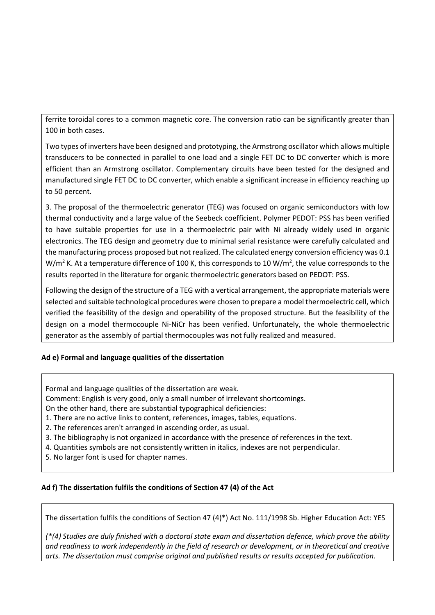ferrite toroidal cores to a common magnetic core. The conversion ratio can be significantly greater than 100 in both cases.

Two types of inverters have been designed and prototyping, the Armstrong oscillator which allows multiple transducers to be connected in parallel to one load and a single FET DC to DC converter which is more efficient than an Armstrong oscillator. Complementary circuits have been tested for the designed and manufactured single FET DC to DC converter, which enable a significant increase in efficiency reaching up to 50 percent.

3. The proposal of the thermoelectric generator (TEG) was focused on organic semiconductors with low thermal conductivity and a large value of the Seebeck coefficient. Polymer PEDOT: PSS has been verified to have suitable properties for use in a thermoelectric pair with Ni already widely used in organic electronics. The TEG design and geometry due to minimal serial resistance were carefully calculated and the manufacturing process proposed but not realized. The calculated energy conversion efficiency was 0.1 W/m<sup>2</sup> K. At a temperature difference of 100 K, this corresponds to 10 W/m<sup>2</sup>, the value corresponds to the results reported in the literature for organic thermoelectric generators based on PEDOT: PSS.

Following the design of the structure of a TEG with a vertical arrangement, the appropriate materials were selected and suitable technological procedures were chosen to prepare a model thermoelectric cell, which verified the feasibility of the design and operability of the proposed structure. But the feasibility of the design on a model thermocouple Ni-NiCr has been verified. Unfortunately, the whole thermoelectric generator as the assembly of partial thermocouples was not fully realized and measured.

# **Ad e) Formal and language qualities of the dissertation**

Formal and language qualities of the dissertation are weak.

Comment: English is very good, only a small number of irrelevant shortcomings.

On the other hand, there are substantial typographical deficiencies:

- 1. There are no active links to content, references, images, tables, equations.
- 2. The references aren't arranged in ascending order, as usual.
- 3. The bibliography is not organized in accordance with the presence of references in the text.
- 4. Quantities symbols are not consistently written in italics, indexes are not perpendicular.
- 5. No larger font is used for chapter names.

# **Ad f) The dissertation fulfils the conditions of Section 47 (4) of the Act**

The dissertation fulfils the conditions of Section 47 (4)\*) Act No. 111/1998 Sb. Higher Education Act: YES

*(\*(4) Studies are duly finished with a doctoral state exam and dissertation defence, which prove the ability and readiness to work independently in the field of research or development, or in theoretical and creative arts. The dissertation must comprise original and published results or results accepted for publication.*